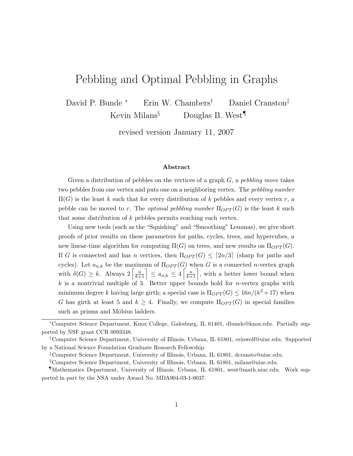# Pebbling and Optimal Pebbling in Graphs

David P. Bunde <sup>∗</sup> Erin W. Chambers† Daniel Cranston‡ Kevin Milans<sup>§</sup> Douglas B. West<sup>¶</sup>

revised version January 11, 2007

#### Abstract

Given a distribution of pebbles on the vertices of a graph  $G$ , a pebbling move takes two pebbles from one vertex and puts one on a neighboring vertex. The pebbling number  $\Pi(G)$  is the least k such that for every distribution of k pebbles and every vertex r, a pebble can be moved to r. The *optimal pebbling number*  $\Pi_{OPT}(G)$  is the least k such that some distribution of  $k$  pebbles permits reaching each vertex.

Using new tools (such as the "Squishing" and "Smoothing" Lemmas), we give short proofs of prior results on these parameters for paths, cycles, trees, and hypercubes, a new linear-time algorithm for computing  $\Pi(G)$  on trees, and new results on  $\Pi_{OPT}(G)$ . If G is connected and has n vertices, then  $\Pi_{OPT}(G) \leq [2n/3]$  (sharp for paths and cycles). Let  $a_{n,k}$  be the maximum of  $\Pi_{OPT}(G)$  when G is a connected n-vertex graph with  $\delta(G) \geq k$ . Always  $2\left[\frac{n}{k+1}\right] \leq a_{n,k} \leq 4\left[\frac{n}{k+1}\right]$ , with a better lower bound when  $k$  is a nontrivial multiple of 3. Better upper bounds hold for *n*-vertex graphs with minimum degree k having large girth; a special case is  $\Pi_{OPT}(G) \leq 16n/(k^2+17)$  when G has girth at least 5 and  $k \geq 4$ . Finally, we compute  $\Pi_{OPT}(G)$  in special families such as prisms and Möbius ladders.

<sup>∗</sup>Computer Science Department, Knox College, Galesburg, IL 61401, dbunde@knox.edu. Partially supported by NSF grant CCR 0093348.

<sup>†</sup>Computer Science Department, University of Illinois, Urbana, IL 61801, erinwolf@uiuc.edu. Supported by a National Science Foundation Graduate Research Fellowship.

<sup>‡</sup>Computer Science Department, University of Illinois, Urbana, IL 61801, dcransto@uiuc.edu.

<sup>§</sup>Computer Science Department, University of Illinois, Urbana, IL 61801, milans@uiuc.edu.

<sup>¶</sup>Mathematics Department, University of Illinois, Urbana, IL 61801, west@math.uiuc.edu. Work supported in part by the NSA under Award No. MDA904-03-1-0037.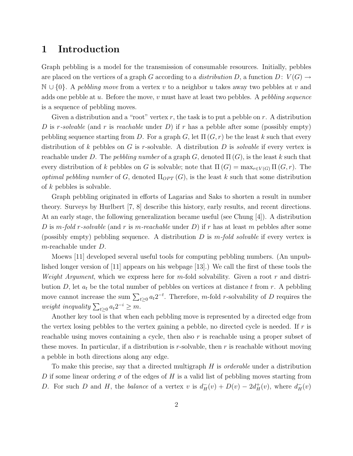### 1 Introduction

Graph pebbling is a model for the transmission of consumable resources. Initially, pebbles are placed on the vertices of a graph G according to a distribution D, a function  $D: V(G) \rightarrow$  $\mathbb{N} \cup \{0\}$ . A pebbling move from a vertex v to a neighbor u takes away two pebbles at v and adds one pebble at u. Before the move, v must have at least two pebbles. A pebbling sequence is a sequence of pebbling moves.

Given a distribution and a "root" vertex  $r$ , the task is to put a pebble on  $r$ . A distribution D is r-solvable (and r is reachable under D) if r has a pebble after some (possibly empty) pebbling sequence starting from D. For a graph G, let  $\Pi(G, r)$  be the least k such that every distribution of k pebbles on G is r-solvable. A distribution D is *solvable* if every vertex is reachable under D. The pebbling number of a graph G, denoted  $\Pi(G)$ , is the least k such that every distribution of k pebbles on G is solvable; note that  $\Pi(G) = \max_{r \in V(G)} \Pi(G, r)$ . The optimal pebbling number of G, denoted  $\Pi_{OPT}(G)$ , is the least k such that some distribution of k pebbles is solvable.

Graph pebbling originated in efforts of Lagarias and Saks to shorten a result in number theory. Surveys by Hurlbert [7, 8] describe this history, early results, and recent directions. At an early stage, the following generalization became useful (see Chung [4]). A distribution D is m-fold r-solvable (and r is m-reachable under D) if r has at least m pebbles after some (possibly empty) pebbling sequence. A distribution  $D$  is m-fold solvable if every vertex is m-reachable under D.

Moews [11] developed several useful tools for computing pebbling numbers. (An unpublished longer version of [11] appears on his webpage [13].) We call the first of these tools the *Weight Argument*, which we express here for m-fold solvability. Given a root r and distribution D, let  $a_t$  be the total number of pebbles on vertices at distance t from r. A pebbling move cannot increase the sum  $\sum_{t\geq 0} a_t 2^{-t}$ . Therefore, m-fold r-solvability of D requires the weight inequality  $\sum_{t\geq 0} a_t 2^{-i} \geq m$ .

Another key tool is that when each pebbling move is represented by a directed edge from the vertex losing pebbles to the vertex gaining a pebble, no directed cycle is needed. If  $r$  is reachable using moves containing a cycle, then also  $r$  is reachable using a proper subset of these moves. In particular, if a distribution is  $r$ -solvable, then  $r$  is reachable without moving a pebble in both directions along any edge.

To make this precise, say that a directed multigraph  $H$  is *orderable* under a distribution D if some linear ordering  $\sigma$  of the edges of H is a valid list of pebbling moves starting from D. For such D and H, the balance of a vertex v is  $d^-_H(v) + D(v) - 2d^+_H(v)$ , where  $d^-_H(v)$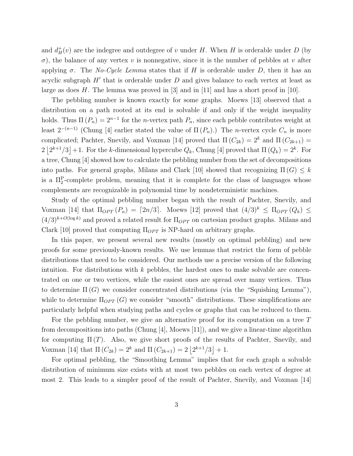and  $d_H^+(v)$  are the indegree and outdegree of v under H. When H is orderable under D (by  $\sigma$ ), the balance of any vertex v is nonnegative, since it is the number of pebbles at v after applying  $\sigma$ . The No-Cycle Lemma states that if H is orderable under D, then it has an acyclic subgraph  $H'$  that is orderable under  $D$  and gives balance to each vertex at least as large as does H. The lemma was proved in [3] and in [11] and has a short proof in [10].

The pebbling number is known exactly for some graphs. Moews [13] observed that a distribution on a path rooted at its end is solvable if and only if the weight inequality holds. Thus  $\Pi(P_n) = 2^{n-1}$  for the *n*-vertex path  $P_n$ , since each pebble contributes weight at least  $2^{-(n-1)}$  (Chung [4] earlier stated the value of  $\Pi(P_n)$ .) The *n*-vertex cycle  $C_n$  is more complicated; Pachter, Snevily, and Voxman [14] proved that  $\Pi(C_{2k}) = 2^k$  and  $\Pi(C_{2k+1}) =$  $2|2^{k+1}/3|+1$ . For the k-dimensional hypercube  $Q_k$ , Chung [4] proved that  $\Pi(Q_k)=2^k$ . For a tree, Chung [4] showed how to calculate the pebbling number from the set of decompositions into paths. For general graphs, Milans and Clark [10] showed that recognizing  $\Pi(G) \leq k$ is a  $\Pi_2^{\text{P}}$ -complete problem, meaning that it is complete for the class of languages whose complements are recognizable in polynomial time by nondeterministic machines.

Study of the optimal pebbling number began with the result of Pachter, Snevily, and Voxman [14] that  $\Pi_{OPT}(P_n) = [2n/3]$ . Moews [12] proved that  $(4/3)^k \leq \Pi_{OPT}(Q_k) \leq$  $(4/3)^{k+O(\log k)}$  and proved a related result for  $\Pi_{OPT}$  on cartesian product graphs. Milans and Clark [10] proved that computing  $\Pi_{OPT}$  is NP-hard on arbitrary graphs.

In this paper, we present several new results (mostly on optimal pebbling) and new proofs for some previously-known results. We use lemmas that restrict the form of pebble distributions that need to be considered. Our methods use a precise version of the following intuition. For distributions with  $k$  pebbles, the hardest ones to make solvable are concentrated on one or two vertices, while the easiest ones are spread over many vertices. Thus to determine  $\Pi(G)$  we consider concentrated distributions (via the "Squishing Lemma"), while to determine  $\Pi_{OPT}(G)$  we consider "smooth" distributions. These simplifications are particularly helpful when studying paths and cycles or graphs that can be reduced to them.

For the pebbling number, we give an alternative proof for its computation on a tree T from decompositions into paths (Chung [4], Moews [11]), and we give a linear-time algorithm for computing  $\Pi(T)$ . Also, we give short proofs of the results of Pachter, Snevily, and Voxman [14] that  $\Pi(C_{2k}) = 2^k$  and  $\Pi(C_{2k+1}) = 2|2^{k+1}/3| + 1$ .

For optimal pebbling, the "Smoothing Lemma" implies that for each graph a solvable distribution of minimum size exists with at most two pebbles on each vertex of degree at most 2. This leads to a simpler proof of the result of Pachter, Snevily, and Voxman [14]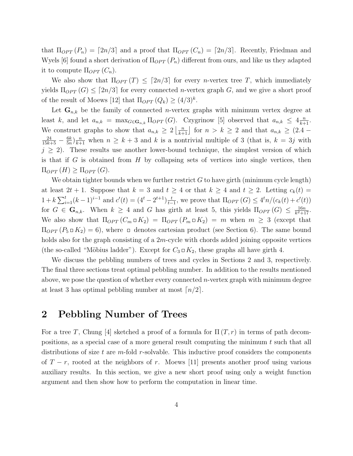that  $\Pi_{OPT}(P_n) = [2n/3]$  and a proof that  $\Pi_{OPT}(C_n) = [2n/3]$ . Recently, Friedman and Wyels [6] found a short derivation of  $\Pi_{OPT}(P_n)$  different from ours, and like us they adapted it to compute  $\Pi_{OPT}(C_n)$ .

We also show that  $\Pi_{OPT}(T) \leq [2n/3]$  for every *n*-vertex tree T, which immediately yields  $\Pi_{OPT}(G) \leq [2n/3]$  for every connected *n*-vertex graph G, and we give a short proof of the result of Moews [12] that  $\Pi_{OPT}(Q_k) \geq (4/3)^k$ .

Let  $\mathbf{G}_{n,k}$  be the family of connected *n*-vertex graphs with minimum vertex degree at least k, and let  $a_{n,k} = \max_{G \in \mathbf{G}_{n,k}} \Pi_{OPT}(G)$ . Czygrinow [5] observed that  $a_{n,k} \leq 4 \frac{n}{k+1}$ . We construct graphs to show that  $a_{n,k} \geq 2 \left\lfloor \frac{n}{k+1} \right\rfloor$  for  $n > k \geq 2$  and that  $a_{n,k} \geq (2.4 \frac{24}{15k+5} - \frac{6k}{5n}$  $\frac{6k}{5n}\big)\frac{n}{k+1}$  when  $n \geq k+3$  and k is a nontrivial multiple of 3 (that is,  $k = 3j$  with  $j \geq 2$ ). These results use another lower-bound technique, the simplest version of which is that if G is obtained from  $H$  by collapsing sets of vertices into single vertices, then  $\Pi_{OPT}(H) \geq \Pi_{OPT}(G)$ .

We obtain tighter bounds when we further restrict G to have girth (minimum cycle length) at least  $2t + 1$ . Suppose that  $k = 3$  and  $t \ge 4$  or that  $k \ge 4$  and  $t \ge 2$ . Letting  $c_k(t) =$  $1 + k \sum_{i=1}^{t} (k-1)^{i-1}$  and  $c'(t) = (4^t - 2^{t+1}) \frac{t}{t-1}$  $\frac{t}{t-1}$ , we prove that  $\Pi_{OPT}(G) \leq 4^t n/(c_k(t) + c'(t))$ for  $G \in \mathbf{G}_{n,k}$ . When  $k \geq 4$  and G has girth at least 5, this yields  $\Pi_{OPT}(G) \leq \frac{16n}{k^2+1}$  $\frac{16n}{k^2+17}$ . We also show that  $\Pi_{OPT}(C_m \square K_2) = \Pi_{OPT}(P_m \square K_2) = m$  when  $m \geq 3$  (except that  $\Pi_{OPT}(P_5 \square K_2) = 6$ , where  $\square$  denotes cartesian product (see Section 6). The same bound holds also for the graph consisting of a  $2m$ -cycle with chords added joining opposite vertices (the so-called "Möbius ladder"). Except for  $C_3 \square K_2$ , these graphs all have girth 4.

We discuss the pebbling numbers of trees and cycles in Sections 2 and 3, respectively. The final three sections treat optimal pebbling number. In addition to the results mentioned above, we pose the question of whether every connected  $n$ -vertex graph with minimum degree at least 3 has optimal pebbling number at most  $\lceil n/2 \rceil$ .

### 2 Pebbling Number of Trees

For a tree T, Chung [4] sketched a proof of a formula for  $\Pi(T, r)$  in terms of path decompositions, as a special case of a more general result computing the minimum  $t$  such that all distributions of size t are m-fold r-solvable. This inductive proof considers the components of  $T - r$ , rooted at the neighbors of r. Moews [11] presents another proof using various auxiliary results. In this section, we give a new short proof using only a weight function argument and then show how to perform the computation in linear time.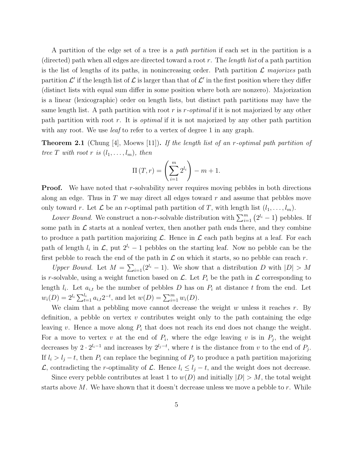A partition of the edge set of a tree is a path partition if each set in the partition is a (directed) path when all edges are directed toward a root  $r$ . The *length list* of a path partition is the list of lengths of its paths, in nonincreasing order. Path partition  $\mathcal L$  majorizes path partition  $\mathcal{L}'$  if the length list of  $\mathcal{L}$  is larger than that of  $\mathcal{L}'$  in the first position where they differ (distinct lists with equal sum differ in some position where both are nonzero). Majorization is a linear (lexicographic) order on length lists, but distinct path partitions may have the same length list. A path partition with root r is  $r$ -optimal if it is not majorized by any other path partition with root r. It is *optimal* if it is not majorized by any other path partition with any root. We use *leaf* to refer to a vertex of degree 1 in any graph.

**Theorem 2.1** (Chung [4], Moews [11]). If the length list of an r-optimal path partition of tree T with root r is  $(l_1, \ldots, l_m)$ , then

$$
\Pi(T,r) = \left(\sum_{i=1}^{m} 2^{l_i}\right) - m + 1.
$$

**Proof.** We have noted that r-solvability never requires moving pebbles in both directions along an edge. Thus in  $T$  we may direct all edges toward  $r$  and assume that pebbles move only toward r. Let  $\mathcal L$  be an r-optimal path partition of T, with length list  $(l_1, \ldots, l_m)$ .

Lower Bound. We construct a non-r-solvable distribution with  $\sum_{i=1}^{m} (2^{l_i} - 1)$  pebbles. If some path in  $\mathcal L$  starts at a nonleaf vertex, then another path ends there, and they combine to produce a path partition majorizing  $\mathcal{L}$ . Hence in  $\mathcal{L}$  each path begins at a leaf. For each path of length  $l_i$  in  $\mathcal{L}$ , put  $2^{l_i} - 1$  pebbles on the starting leaf. Now no pebble can be the first pebble to reach the end of the path in  $\mathcal L$  on which it starts, so no pebble can reach r.

Upper Bound. Let  $M = \sum_{i=1}(2^{l_i} - 1)$ . We show that a distribution D with  $|D| > M$ is r-solvable, using a weight function based on  $\mathcal{L}$ . Let  $P_i$  be the path in  $\mathcal L$  corresponding to length  $l_i$ . Let  $a_{i,t}$  be the number of pebbles D has on  $P_i$  at distance t from the end. Let  $w_i(D) = 2^{l_i} \sum_{t=1}^{l_i} a_{i,t} 2^{-t}$ , and let  $w(D) = \sum_{i=1}^{m} w_i(D)$ .

We claim that a pebbling move cannot decrease the weight  $w$  unless it reaches  $r$ . By definition, a pebble on vertex  $v$  contributes weight only to the path containing the edge leaving v. Hence a move along  $P_i$  that does not reach its end does not change the weight. For a move to vertex v at the end of  $P_i$ , where the edge leaving v is in  $P_j$ , the weight decreases by  $2 \cdot 2^{l_i-1}$  and increases by  $2^{l_j-t}$ , where t is the distance from v to the end of  $P_j$ . If  $l_i > l_j - t$ , then  $P_i$  can replace the beginning of  $P_j$  to produce a path partition majorizing L, contradicting the r-optimality of L. Hence  $l_i ≤ l_j - t$ , and the weight does not decrease.

Since every pebble contributes at least 1 to  $w(D)$  and initially  $|D| > M$ , the total weight starts above  $M$ . We have shown that it doesn't decrease unless we move a pebble to  $r$ . While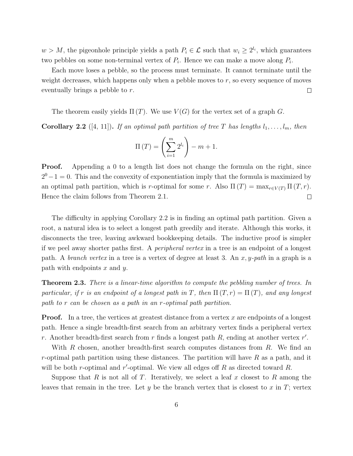$w > M$ , the pigeonhole principle yields a path  $P_i \in \mathcal{L}$  such that  $w_i \geq 2^{l_i}$ , which guarantees two pebbles on some non-terminal vertex of  $P_i$ . Hence we can make a move along  $P_i$ .

Each move loses a pebble, so the process must terminate. It cannot terminate until the weight decreases, which happens only when a pebble moves to r, so every sequence of moves eventually brings a pebble to r.  $\Box$ 

The theorem easily yields  $\Pi(T)$ . We use  $V(G)$  for the vertex set of a graph G.

**Corollary 2.2** ([4, 11]). If an optimal path partition of tree T has lengths  $l_1, \ldots, l_m$ , then

$$
\Pi(T) = \left(\sum_{i=1}^{m} 2^{l_i}\right) - m + 1.
$$

**Proof.** Appending a 0 to a length list does not change the formula on the right, since  $2^{0} - 1 = 0$ . This and the convexity of exponentiation imply that the formula is maximized by an optimal path partition, which is r-optimal for some r. Also  $\Pi(T) = \max_{r \in V(T)} \Pi(T, r)$ . Hence the claim follows from Theorem 2.1.  $\Box$ 

The difficulty in applying Corollary 2.2 is in finding an optimal path partition. Given a root, a natural idea is to select a longest path greedily and iterate. Although this works, it disconnects the tree, leaving awkward bookkeeping details. The inductive proof is simpler if we peel away shorter paths first. A peripheral vertex in a tree is an endpoint of a longest path. A *branch vertex* in a tree is a vertex of degree at least 3. An  $x, y$ -path in a graph is a path with endpoints  $x$  and  $y$ .

**Theorem 2.3.** There is a linear-time algorithm to compute the pebbling number of trees. In particular, if r is an endpoint of a longest path in T, then  $\Pi(T, r) = \Pi(T)$ , and any longest path to r can be chosen as a path in an r-optimal path partition.

**Proof.** In a tree, the vertices at greatest distance from a vertex  $x$  are endpoints of a longest path. Hence a single breadth-first search from an arbitrary vertex finds a peripheral vertex r. Another breadth-first search from r finds a longest path  $R$ , ending at another vertex  $r'$ .

With R chosen, another breadth-first search computes distances from R. We find an r-optimal path partition using these distances. The partition will have  $R$  as a path, and it will be both r-optimal and r'-optimal. We view all edges off  $R$  as directed toward  $R$ .

Suppose that R is not all of T. Iteratively, we select a leaf x closest to R among the leaves that remain in the tree. Let  $y$  be the branch vertex that is closest to  $x$  in  $T$ ; vertex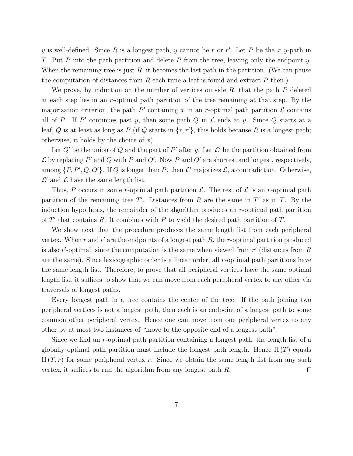y is well-defined. Since R is a longest path, y cannot be r or r'. Let P be the x, y-path in T. Put P into the path partition and delete P from the tree, leaving only the endpoint y. When the remaining tree is just  $R$ , it becomes the last path in the partition. (We can pause the computation of distances from  $R$  each time a leaf is found and extract  $P$  then.)

We prove, by induction on the number of vertices outside  $R$ , that the path  $P$  deleted at each step lies in an r-optimal path partition of the tree remaining at that step. By the majorization criterion, the path  $P'$  containing x in an r-optimal path partition  $\mathcal L$  contains all of P. If P' continues past y, then some path Q in  $\mathcal L$  ends at y. Since Q starts at a leaf, Q is at least as long as P (if Q starts in  $\{r, r'\}$ , this holds because R is a longest path; otherwise, it holds by the choice of  $x$ ).

Let  $Q'$  be the union of  $Q$  and the part of  $P'$  after y. Let  $\mathcal{L}'$  be the partition obtained from  $\mathcal L$  by replacing  $P'$  and  $Q$  with  $P$  and  $Q'$ . Now  $P$  and  $Q'$  are shortest and longest, respectively, among  $\{P, P', Q, Q'\}$ . If Q is longer than P, then L' majorizes L, a contradiction. Otherwise,  $\mathcal{L}'$  and  $\mathcal{L}$  have the same length list.

Thus, P occurs in some r-optimal path partition  $\mathcal{L}$ . The rest of  $\mathcal{L}$  is an r-optimal path partition of the remaining tree  $T'$ . Distances from R are the same in  $T'$  as in T. By the induction hypothesis, the remainder of the algorithm produces an r-optimal path partition of  $T'$  that contains R. It combines with P to yield the desired path partition of T.

We show next that the procedure produces the same length list from each peripheral vertex. When  $r$  and  $r'$  are the endpoints of a longest path  $R$ , the  $r$ -optimal partition produced is also  $r'$ -optimal, since the computation is the same when viewed from  $r'$  (distances from  $R$ are the same). Since lexicographic order is a linear order, all r-optimal path partitions have the same length list. Therefore, to prove that all peripheral vertices have the same optimal length list, it suffices to show that we can move from each peripheral vertex to any other via traversals of longest paths.

Every longest path in a tree contains the center of the tree. If the path joining two peripheral vertices is not a longest path, then each is an endpoint of a longest path to some common other peripheral vertex. Hence one can move from one peripheral vertex to any other by at most two instances of "move to the opposite end of a longest path".

Since we find an r-optimal path partition containing a longest path, the length list of a globally optimal path partition must include the longest path length. Hence  $\Pi(T)$  equals  $\Pi(T, r)$  for some peripheral vertex r. Since we obtain the same length list from any such vertex, it suffices to run the algorithm from any longest path R.  $\Box$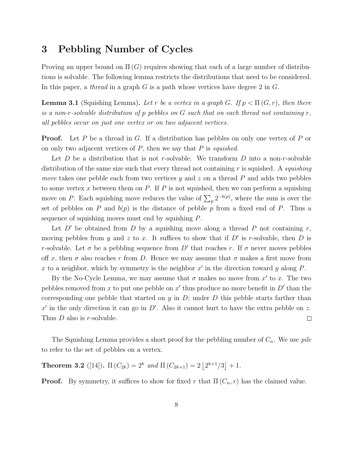### 3 Pebbling Number of Cycles

Proving an upper bound on  $\Pi(G)$  requires showing that each of a large number of distributions is solvable. The following lemma restricts the distributions that need to be considered. In this paper, a *thread* in a graph G is a path whose vertices have degree 2 in G.

**Lemma 3.1** (Squishing Lemma). Let r be a vertex in a graph G. If  $p < \Pi(G, r)$ , then there is a non-r-solvable distribution of p pebbles on  $G$  such that on each thread not containing  $r$ , all pebbles occur on just one vertex or on two adjacent vertices.

**Proof.** Let P be a thread in G. If a distribution has pebbles on only one vertex of P or on only two adjacent vertices of  $P$ , then we say that  $P$  is *squished*.

Let D be a distribution that is not r-solvable. We transform D into a non-r-solvable distribution of the same size such that every thread not containing  $r$  is squished. A *squishing* move takes one pebble each from two vertices y and z on a thread  $P$  and adds two pebbles to some vertex x between them on  $P$ . If  $P$  is not squished, then we can perform a squishing move on P. Each squishing move reduces the value of  $\sum_{p} 2^{-b(p)}$ , where the sum is over the set of pebbles on P and  $b(p)$  is the distance of pebble p from a fixed end of P. Thus a sequence of squishing moves must end by squishing P.

Let  $D'$  be obtained from D by a squishing move along a thread P not containing r, moving pebbles from y and z to x. It suffices to show that if  $D'$  is r-solvable, then D is r-solvable. Let  $\sigma$  be a pebbling sequence from D' that reaches r. If  $\sigma$  never moves pebbles off x, then  $\sigma$  also reaches r from D. Hence we may assume that  $\sigma$  makes a first move from x to a neighbor, which by symmetry is the neighbor  $x'$  in the direction toward y along  $P$ .

By the No-Cycle Lemma, we may assume that  $\sigma$  makes no move from  $x'$  to x. The two pebbles removed from x to put one pebble on  $x'$  thus produce no more benefit in  $D'$  than the corresponding one pebble that started on  $y$  in  $D$ ; under  $D$  this pebble starts farther than  $x'$  in the only direction it can go in  $D'$ . Also it cannot hurt to have the extra pebble on z. Thus *D* also is *r*-solvable.  $\Box$ 

The Squishing Lemma provides a short proof for the pebbling number of  $C_n$ . We use *pile* to refer to the set of pebbles on a vertex.

**Theorem 3.2** ([14]).  $\Pi(C_{2k}) = 2^k$  and  $\Pi(C_{2k+1}) = 2|2^{k+1}/3| + 1$ .

**Proof.** By symmetry, it suffices to show for fixed r that  $\Pi(C_n, r)$  has the claimed value.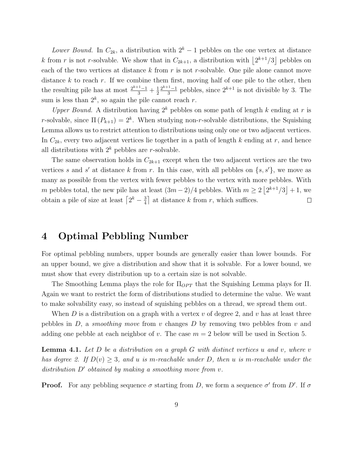Lower Bound. In  $C_{2k}$ , a distribution with  $2<sup>k</sup> - 1$  pebbles on the one vertex at distance k from r is not r-solvable. We show that in  $C_{2k+1}$ , a distribution with  $\lfloor 2^{k+1}/3 \rfloor$  pebbles on each of the two vertices at distance  $k$  from  $r$  is not  $r$ -solvable. One pile alone cannot move distance k to reach r. If we combine them first, moving half of one pile to the other, then the resulting pile has at most  $\frac{2^{k+1}-1}{3} + \frac{1}{2}$ 2  $2^{k+1}-1$  $\frac{1}{3}$  pebbles, since  $2^{k+1}$  is not divisible by 3. The sum is less than  $2^k$ , so again the pile cannot reach r.

Upper Bound. A distribution having  $2^k$  pebbles on some path of length k ending at r is r-solvable, since  $\Pi(P_{k+1}) = 2^k$ . When studying non-r-solvable distributions, the Squishing Lemma allows us to restrict attention to distributions using only one or two adjacent vertices. In  $C_{2k}$ , every two adjacent vertices lie together in a path of length k ending at r, and hence all distributions with  $2^k$  pebbles are *r*-solvable.

The same observation holds in  $C_{2k+1}$  except when the two adjacent vertices are the two vertices s and s' at distance k from r. In this case, with all pebbles on  $\{s, s'\}$ , we move as many as possible from the vertex with fewer pebbles to the vertex with more pebbles. With m pebbles total, the new pile has at least  $(3m-2)/4$  pebbles. With  $m \geq 2|2^{k+1}/3| + 1$ , we obtain a pile of size at least  $\left[2^k - \frac{3}{4}\right]$  $\frac{3}{4}$  at distance k from r, which suffices.  $\Box$ 

### 4 Optimal Pebbling Number

For optimal pebbling numbers, upper bounds are generally easier than lower bounds. For an upper bound, we give a distribution and show that it is solvable. For a lower bound, we must show that every distribution up to a certain size is not solvable.

The Smoothing Lemma plays the role for  $\Pi_{OPT}$  that the Squishing Lemma plays for  $\Pi$ . Again we want to restrict the form of distributions studied to determine the value. We want to make solvability easy, so instead of squishing pebbles on a thread, we spread them out.

When D is a distribution on a graph with a vertex v of degree 2, and v has at least three pebbles in  $D$ , a *smoothing move* from v changes  $D$  by removing two pebbles from v and adding one pebble at each neighbor of v. The case  $m = 2$  below will be used in Section 5.

**Lemma 4.1.** Let D be a distribution on a graph G with distinct vertices u and v, where v has degree 2. If  $D(v) \geq 3$ , and u is m-reachable under D, then u is m-reachable under the distribution  $D'$  obtained by making a smoothing move from v.

**Proof.** For any pebbling sequence  $\sigma$  starting from D, we form a sequence  $\sigma'$  from D'. If  $\sigma$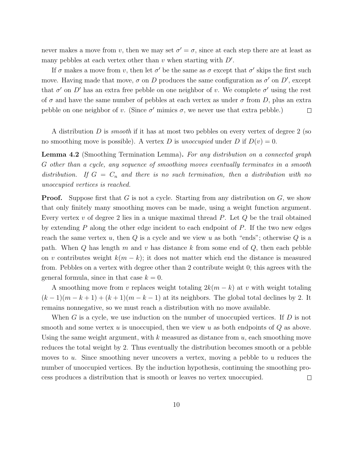never makes a move from v, then we may set  $\sigma' = \sigma$ , since at each step there are at least as many pebbles at each vertex other than  $v$  when starting with  $D'$ .

If  $\sigma$  makes a move from v, then let  $\sigma'$  be the same as  $\sigma$  except that  $\sigma'$  skips the first such move. Having made that move,  $\sigma$  on D produces the same configuration as  $\sigma'$  on D', except that  $\sigma'$  on D' has an extra free pebble on one neighbor of v. We complete  $\sigma'$  using the rest of  $\sigma$  and have the same number of pebbles at each vertex as under  $\sigma$  from D, plus an extra pebble on one neighbor of v. (Since  $\sigma'$  mimics  $\sigma$ , we never use that extra pebble.)  $\Box$ 

A distribution D is *smooth* if it has at most two pebbles on every vertex of degree 2 (so no smoothing move is possible). A vertex D is unoccupied under D if  $D(v) = 0$ .

Lemma 4.2 (Smoothing Termination Lemma). For any distribution on a connected graph G other than a cycle, any sequence of smoothing moves eventually terminates in a smooth distribution. If  $G = C_n$  and there is no such termination, then a distribution with no unoccupied vertices is reached.

**Proof.** Suppose first that G is not a cycle. Starting from any distribution on  $G$ , we show that only finitely many smoothing moves can be made, using a weight function argument. Every vertex  $v$  of degree 2 lies in a unique maximal thread  $P$ . Let  $Q$  be the trail obtained by extending  $P$  along the other edge incident to each endpoint of  $P$ . If the two new edges reach the same vertex  $u$ , then  $Q$  is a cycle and we view  $u$  as both "ends"; otherwise  $Q$  is a path. When  $Q$  has length  $m$  and  $v$  has distance k from some end of  $Q$ , then each pebble on v contributes weight  $k(m - k)$ ; it does not matter which end the distance is measured from. Pebbles on a vertex with degree other than 2 contribute weight 0; this agrees with the general formula, since in that case  $k = 0$ .

A smoothing move from v replaces weight totaling  $2k(m - k)$  at v with weight totaling  $(k-1)(m-k+1) + (k+1)(m-k-1)$  at its neighbors. The global total declines by 2. It remains nonnegative, so we must reach a distribution with no move available.

When G is a cycle, we use induction on the number of unoccupied vertices. If  $D$  is not smooth and some vertex u is unoccupied, then we view u as both endpoints of  $Q$  as above. Using the same weight argument, with  $k$  measured as distance from  $u$ , each smoothing move reduces the total weight by 2. Thus eventually the distribution becomes smooth or a pebble moves to u. Since smoothing never uncovers a vertex, moving a pebble to u reduces the number of unoccupied vertices. By the induction hypothesis, continuing the smoothing process produces a distribution that is smooth or leaves no vertex unoccupied.  $\Box$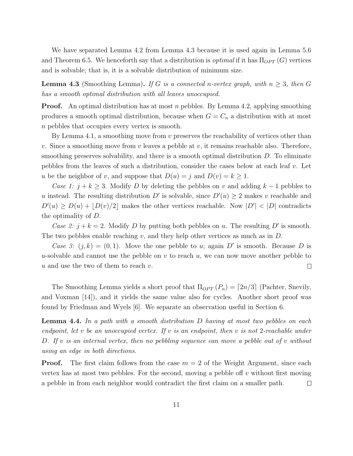We have separated Lemma 4.2 from Lemma 4.3 because it is used again in Lemma 5.6 and Theorem 6.5. We henceforth say that a distribution is *optimal* if it has  $\Pi_{OPT}(G)$  vertices and is solvable; that is, it is a solvable distribution of minimum size.

**Lemma 4.3** (Smoothing Lemma). If G is a connected n-vertex graph, with  $n \geq 3$ , then G has a smooth optimal distribution with all leaves unoccupied.

**Proof.** An optimal distribution has at most n pebbles. By Lemma 4.2, applying smoothing produces a smooth optimal distribution, because when  $G = C_n$  a distribution with at most n pebbles that occupies every vertex is smooth.

By Lemma 4.1, a smoothing move from  $v$  preserves the reachability of vertices other than v. Since a smoothing move from v leaves a pebble at v, it remains reachable also. Therefore, smoothing preserves solvability, and there is a smooth optimal distribution  $D$ . To eliminate pebbles from the leaves of such a distribution, consider the cases below at each leaf  $v$ . Let u be the neighbor of v, and suppose that  $D(u) = j$  and  $D(v) = k \ge 1$ .

Case 1:  $j + k \geq 3$ . Modify D by deleting the pebbles on v and adding  $k - 1$  pebbles to u instead. The resulting distribution D' is solvable, since  $D'(u) \geq 2$  makes v reachable and  $D'(u) \ge D(u) + [D(v)/2]$  makes the other vertices reachable. Now  $|D'| < |D|$  contradicts the optimality of D.

Case 2:  $j + k = 2$ . Modify D by putting both pebbles on u. The resulting D' is smooth. The two pebbles enable reaching v, and they help other vertices as much as in  $D$ .

Case 3:  $(j, k) = (0, 1)$ . Move the one pebble to u; again D' is smooth. Because D is u-solvable and cannot use the pebble on v to reach  $u$ , we can now move another pebble to  $u$  and use the two of them to reach  $v$ .  $\Box$ 

The Smoothing Lemma yields a short proof that  $\Pi_{OPT}(P_n) = \lceil 2n/3 \rceil$  (Pachter, Snevily, and Voxman [14]), and it yields the same value also for cycles. Another short proof was found by Friedman and Wyels [6]. We separate an observation useful in Section 6.

**Lemma 4.4.** In a path with a smooth distribution  $D$  having at most two pebbles on each endpoint, let v be an unoccupied vertex. If v is an endpoint, then v is not 2-reachable under D. If v is an internal vertex, then no pebbling sequence can move a pebble out of v without using an edge in both directions.

**Proof.** The first claim follows from the case  $m = 2$  of the Weight Argument, since each vertex has at most two pebbles. For the second, moving a pebble of  $v$  without first moving a pebble in from each neighbor would contradict the first claim on a smaller path.  $\Box$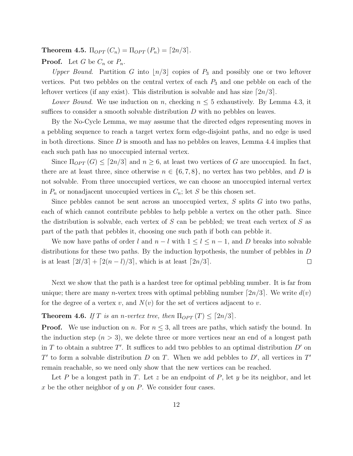**Theorem 4.5.**  $\Pi_{OPT}(C_n) = \Pi_{OPT}(P_n) = [2n/3]$ .

**Proof.** Let G be  $C_n$  or  $P_n$ .

Upper Bound. Partition G into  $\lfloor n/3 \rfloor$  copies of  $P_3$  and possibly one or two leftover vertices. Put two pebbles on the central vertex of each  $P_3$  and one pebble on each of the leftover vertices (if any exist). This distribution is solvable and has size  $\lceil 2n/3 \rceil$ .

Lower Bound. We use induction on n, checking  $n \leq 5$  exhaustively. By Lemma 4.3, it suffices to consider a smooth solvable distribution  $D$  with no pebbles on leaves.

By the No-Cycle Lemma, we may assume that the directed edges representing moves in a pebbling sequence to reach a target vertex form edge-disjoint paths, and no edge is used in both directions. Since  $D$  is smooth and has no pebbles on leaves, Lemma 4.4 implies that each such path has no unoccupied internal vertex.

Since  $\Pi_{OPT}(G) \leq [2n/3]$  and  $n \geq 6$ , at least two vertices of G are unoccupied. In fact, there are at least three, since otherwise  $n \in \{6, 7, 8\}$ , no vertex has two pebbles, and D is not solvable. From three unoccupied vertices, we can choose an unoccupied internal vertex in  $P_n$  or nonadjacent unoccupied vertices in  $C_n$ ; let S be this chosen set.

Since pebbles cannot be sent across an unoccupied vertex,  $S$  splits  $G$  into two paths, each of which cannot contribute pebbles to help pebble a vertex on the other path. Since the distribution is solvable, each vertex of  $S$  can be pebbled; we treat each vertex of  $S$  as part of the path that pebbles it, choosing one such path if both can pebble it.

We now have paths of order l and  $n - l$  with  $1 \leq l \leq n - 1$ , and D breaks into solvable distributions for these two paths. By the induction hypothesis, the number of pebbles in D is at least  $\lceil 2l/3 \rceil + \lceil 2(n-l)/3 \rceil$ , which is at least  $\lceil 2n/3 \rceil$ .  $\Box$ 

Next we show that the path is a hardest tree for optimal pebbling number. It is far from unique; there are many *n*-vertex trees with optimal pebbling number  $\lceil 2n/3 \rceil$ . We write  $d(v)$ for the degree of a vertex v, and  $N(v)$  for the set of vertices adjacent to v.

#### **Theorem 4.6.** If T is an n-vertex tree, then  $\Pi_{OPT}(T) \leq [2n/3]$ .

**Proof.** We use induction on n. For  $n \leq 3$ , all trees are paths, which satisfy the bound. In the induction step  $(n > 3)$ , we delete three or more vertices near an end of a longest path in T to obtain a subtree T'. It suffices to add two pebbles to an optimal distribution  $D'$  on T' to form a solvable distribution  $D$  on  $T$ . When we add pebbles to  $D'$ , all vertices in  $T'$ remain reachable, so we need only show that the new vertices can be reached.

Let P be a longest path in T. Let z be an endpoint of P, let y be its neighbor, and let x be the other neighbor of y on  $P$ . We consider four cases.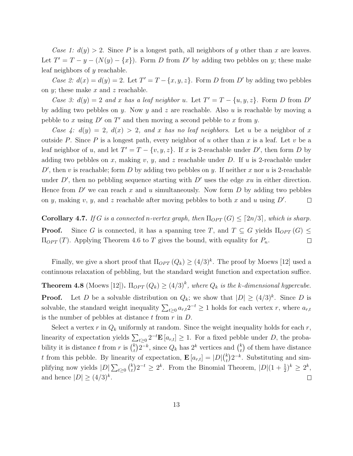Case 1:  $d(y) > 2$ . Since P is a longest path, all neighbors of y other than x are leaves. Let  $T' = T - y - (N(y) - \{x\})$ . Form D from D' by adding two pebbles on y; these make leaf neighbors of y reachable.

Case 2:  $d(x) = d(y) = 2$ . Let  $T' = T - \{x, y, z\}$ . Form D from D' by adding two pebbles on  $y$ ; these make  $x$  and  $z$  reachable.

Case 3:  $d(y) = 2$  and x has a leaf neighbor u. Let  $T' = T - \{u, y, z\}$ . Form D from D' by adding two pebbles on y. Now y and z are reachable. Also u is reachable by moving a pebble to x using  $D'$  on  $T'$  and then moving a second pebble to x from y.

Case 4:  $d(y) = 2$ ,  $d(x) > 2$ , and x has no leaf neighbors. Let u be a neighbor of x outside P. Since P is a longest path, every neighbor of u other than x is a leaf. Let v be a leaf neighbor of u, and let  $T' = T - \{v, y, z\}$ . If x is 2-reachable under D', then form D by adding two pebbles on x, making v, y, and z reachable under D. If u is 2-reachable under  $D'$ , then v is reachable; form D by adding two pebbles on y. If neither x nor u is 2-reachable under  $D'$ , then no pebbling sequence starting with  $D'$  uses the edge xu in either direction. Hence from  $D'$  we can reach x and u simultaneously. Now form  $D$  by adding two pebbles on y, making v, y, and z reachable after moving pebbles to both x and u using  $D'$ .  $\Box$ 

**Corollary 4.7.** If G is a connected n-vertex graph, then  $\Pi_{OPT}(G) \leq [2n/3]$ , which is sharp. **Proof.** Since G is connected, it has a spanning tree T, and  $T \subseteq G$  yields  $\Pi_{OPT}(G) \leq$  $\Pi_{OPT}(T)$ . Applying Theorem 4.6 to T gives the bound, with equality for  $P_n$ .  $\Box$ 

Finally, we give a short proof that  $\Pi_{OPT}(Q_k) \geq (4/3)^k$ . The proof by Moews [12] used a continuous relaxation of pebbling, but the standard weight function and expectation suffice.

**Theorem 4.8** (Moews [12]).  $\Pi_{OPT}(Q_k) \geq (4/3)^k$ , where  $Q_k$  is the k-dimensional hypercube. **Proof.** Let D be a solvable distribution on  $Q_k$ ; we show that  $|D| \geq (4/3)^k$ . Since D is solvable, the standard weight inequality  $\sum_{t\geq 0} a_{r,t} 2^{-t} \geq 1$  holds for each vertex r, where  $a_{r,t}$ is the number of pebbles at distance  $t$  from  $r$  in  $D$ .

Select a vertex r in  $Q_k$  uniformly at random. Since the weight inequality holds for each r, linearity of expectation yields  $\sum_{t\geq 0} 2^{-t} \mathbf{E}[a_{r,t}] \geq 1$ . For a fixed pebble under D, the probability it is distance t from r is  $\binom{k}{t}$  $\binom{k}{t} 2^{-k}$ , since  $Q_k$  has  $2^k$  vertices and  $\binom{k}{t}$  $\binom{k}{t}$  of them have distance t from this pebble. By linearity of expectation,  $\mathbf{E}\left[a_{r,t}\right] = |D| \binom{k}{t}$  $\binom{k}{t} 2^{-k}$ . Substituting and simplifying now yields  $|D| \sum_{t \geq 0} {k \choose t}$  $t_k^{(k)}$  $(2^{-t} \geq 2^k$ . From the Binomial Theorem,  $|D|(1+\frac{1}{2})^k \geq 2^k$ , and hence  $|D| \geq (4/3)^k$ .  $\Box$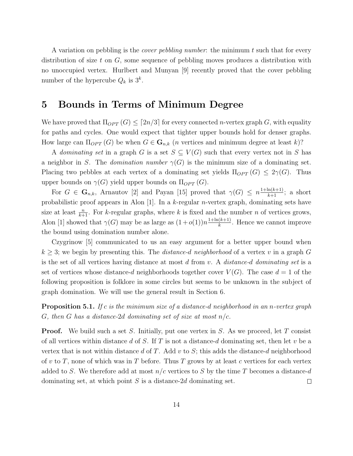A variation on pebbling is the *cover pebbling number*: the minimum t such that for every distribution of size t on  $G$ , some sequence of pebbling moves produces a distribution with no unoccupied vertex. Hurlbert and Munyan [9] recently proved that the cover pebbling number of the hypercube  $Q_k$  is  $3^k$ .

### 5 Bounds in Terms of Minimum Degree

We have proved that  $\Pi_{OPT}(G) \leq [2n/3]$  for every connected *n*-vertex graph G, with equality for paths and cycles. One would expect that tighter upper bounds hold for denser graphs. How large can  $\Pi_{OPT}(G)$  be when  $G \in \mathbf{G}_{n,k}$  (*n* vertices and minimum degree at least k)?

A dominating set in a graph G is a set  $S \subseteq V(G)$  such that every vertex not in S has a neighbor in S. The *domination number*  $\gamma(G)$  is the minimum size of a dominating set. Placing two pebbles at each vertex of a dominating set yields  $\Pi_{OPT}(G) \leq 2\gamma(G)$ . Thus upper bounds on  $\gamma(G)$  yield upper bounds on  $\Pi_{OPT}(G)$ .

For  $G \in \mathbf{G}_{n,k}$ , Arnautov [2] and Payan [15] proved that  $\gamma(G) \leq n \frac{1 + \ln(k+1)}{k+1}$ ; a short probabilistic proof appears in Alon [1]. In a k-regular n-vertex graph, dominating sets have size at least  $\frac{n}{k+1}$ . For k-regular graphs, where k is fixed and the number n of vertices grows, Alon [1] showed that  $\gamma(G)$  may be as large as  $(1+o(1))n \frac{1+\ln(k+1)}{k}$  $\frac{(k+1)}{k}$ . Hence we cannot improve the bound using domination number alone.

Czygrinow [5] communicated to us an easy argument for a better upper bound when  $k \geq 3$ ; we begin by presenting this. The *distance-d neighborhood* of a vertex v in a graph G is the set of all vertices having distance at most  $d$  from  $v$ . A distance-d dominating set is a set of vertices whose distance-d neighborhoods together cover  $V(G)$ . The case  $d = 1$  of the following proposition is folklore in some circles but seems to be unknown in the subject of graph domination. We will use the general result in Section 6.

**Proposition 5.1.** If c is the minimum size of a distance-d neighborhood in an n-vertex graph G, then G has a distance-2d dominating set of size at most  $n/c$ .

**Proof.** We build such a set S. Initially, put one vertex in S. As we proceed, let T consist of all vertices within distance d of S. If T is not a distance-d dominating set, then let v be a vertex that is not within distance d of T. Add  $v$  to  $S$ ; this adds the distance-d neighborhood of v to T, none of which was in T before. Thus T grows by at least c vertices for each vertex added to S. We therefore add at most  $n/c$  vertices to S by the time T becomes a distance-d dominating set, at which point  $S$  is a distance-2d dominating set.  $\Box$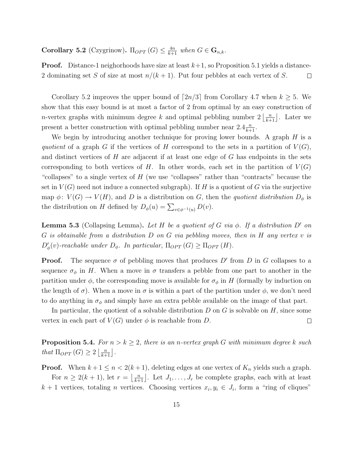**Corollary 5.2** (Czygrinow).  $\Pi_{OPT}(G) \leq \frac{4n}{k+1}$  when  $G \in \mathbf{G}_{n,k}$ .

**Proof.** Distance-1 neighorhoods have size at least  $k+1$ , so Proposition 5.1 yields a distance-2 dominating set S of size at most  $n/(k+1)$ . Put four pebbles at each vertex of S.  $\Box$ 

Corollary 5.2 improves the upper bound of  $\lceil 2n/3 \rceil$  from Corollary 4.7 when  $k \geq 5$ . We show that this easy bound is at most a factor of 2 from optimal by an easy construction of *n*-vertex graphs with minimum degree k and optimal pebbling number  $2\left\lfloor \frac{n}{k+1} \right\rfloor$ . Later we present a better construction with optimal pebbling number near  $2.4\frac{n}{k+1}$ .

We begin by introducing another technique for proving lower bounds. A graph  $H$  is a quotient of a graph G if the vertices of H correspond to the sets in a partition of  $V(G)$ , and distinct vertices of  $H$  are adjacent if at least one edge of  $G$  has endpoints in the sets corresponding to both vertices of H. In other words, each set in the partition of  $V(G)$ "collapses" to a single vertex of  $H$  (we use "collapses" rather than "contracts" because the set in  $V(G)$  need not induce a connected subgraph). If H is a quotient of G via the surjective map  $\phi: V(G) \to V(H)$ , and D is a distribution on G, then the quotient distribution  $D_{\phi}$  is the distribution on H defined by  $D_{\phi}(u) = \sum_{v \in \phi^{-1}(u)} D(v)$ .

**Lemma 5.3** (Collapsing Lemma). Let H be a quotient of G via  $\phi$ . If a distribution D' on  $G$  is obtainable from a distribution  $D$  on  $G$  via pebbling moves, then in  $H$  any vertex  $v$  is  $D'_{\phi}(v)$ -reachable under  $D_{\phi}$ . In particular,  $\Pi_{OPT}(G) \geq \Pi_{OPT}(H)$ .

**Proof.** The sequence  $\sigma$  of pebbling moves that produces D' from D in G collapses to a sequence  $\sigma_{\phi}$  in H. When a move in  $\sigma$  transfers a pebble from one part to another in the partition under  $\phi$ , the corresponding move is available for  $\sigma_{\phi}$  in H (formally by induction on the length of  $\sigma$ ). When a move in  $\sigma$  is within a part of the partition under  $\phi$ , we don't need to do anything in  $\sigma_{\phi}$  and simply have an extra pebble available on the image of that part.

In particular, the quotient of a solvable distribution  $D$  on  $G$  is solvable on  $H$ , since some vertex in each part of  $V(G)$  under  $\phi$  is reachable from D.  $\Box$ 

**Proposition 5.4.** For  $n > k \geq 2$ , there is an n-vertex graph G with minimum degree k such that  $\Pi_{OPT}(G) \geq 2\left\lfloor \frac{n}{k+1} \right\rfloor$ .

**Proof.** When  $k + 1 \le n < 2(k + 1)$ , deleting edges at one vertex of  $K_n$  yields such a graph. For  $n \geq 2(k+1)$ , let  $r = \lfloor \frac{n}{k+1} \rfloor$ . Let  $J_1, \ldots, J_r$  be complete graphs, each with at least  $k + 1$  vertices, totaling *n* vertices. Choosing vertices  $x_i, y_i \in J_i$ , form a "ring of cliques"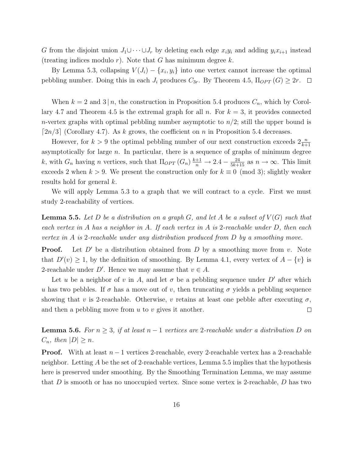G from the disjoint union  $J_1 \cup \cdots \cup J_r$  by deleting each edge  $x_i y_i$  and adding  $y_i x_{i+1}$  instead (treating indices modulo r). Note that G has minimum degree  $k$ .

By Lemma 5.3, collapsing  $V(J_i) - \{x_i, y_i\}$  into one vertex cannot increase the optimal pebbling number. Doing this in each  $J_i$  produces  $C_{3r}$ . By Theorem 4.5,  $\Pi_{OPT}(G) \geq 2r$ .  $\Box$ 

When  $k = 2$  and  $3 | n$ , the construction in Proposition 5.4 produces  $C_n$ , which by Corollary 4.7 and Theorem 4.5 is the extremal graph for all n. For  $k = 3$ , it provides connected *n*-vertex graphs with optimal pebbling number asymptotic to  $n/2$ ; still the upper bound is [ $2n/3$ ] (Corollary 4.7). As k grows, the coefficient on n in Proposition 5.4 decreases.

However, for  $k > 9$  the optimal pebbling number of our next construction exceeds  $2\frac{n}{k+1}$ asymptotically for large  $n$ . In particular, there is a sequence of graphs of minimum degree k, with  $G_n$  having n vertices, such that  $\Pi_{OPT}(G_n) \frac{k+1}{n} \to 2.4 - \frac{24}{5k+15}$  as  $n \to \infty$ . This limit exceeds 2 when  $k > 9$ . We present the construction only for  $k \equiv 0 \pmod{3}$ ; slightly weaker results hold for general k.

We will apply Lemma 5.3 to a graph that we will contract to a cycle. First we must study 2-reachability of vertices.

**Lemma 5.5.** Let D be a distribution on a graph G, and let A be a subset of  $V(G)$  such that each vertex in A has a neighbor in A. If each vertex in A is 2-reachable under D, then each vertex in A is 2-reachable under any distribution produced from D by a smoothing move.

**Proof.** Let  $D'$  be a distribution obtained from D by a smoothing move from v. Note that  $D'(v) \geq 1$ , by the definition of smoothing. By Lemma 4.1, every vertex of  $A - \{v\}$  is 2-reachable under D'. Hence we may assume that  $v \in A$ .

Let u be a neighbor of v in A, and let  $\sigma$  be a pebbling sequence under D' after which u has two pebbles. If  $\sigma$  has a move out of v, then truncating  $\sigma$  yields a pebbling sequence showing that v is 2-reachable. Otherwise, v retains at least one pebble after executing  $\sigma$ , and then a pebbling move from  $u$  to  $v$  gives it another.  $\Box$ 

**Lemma 5.6.** For  $n \geq 3$ , if at least  $n-1$  vertices are 2-reachable under a distribution D on  $C_n$ , then  $|D| \geq n$ .

**Proof.** With at least  $n-1$  vertices 2-reachable, every 2-reachable vertex has a 2-reachable neighbor. Letting  $A$  be the set of 2-reachable vertices, Lemma 5.5 implies that the hypothesis here is preserved under smoothing. By the Smoothing Termination Lemma, we may assume that  $D$  is smooth or has no unoccupied vertex. Since some vertex is 2-reachable,  $D$  has two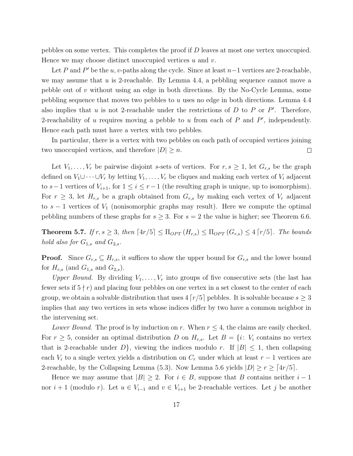pebbles on some vertex. This completes the proof if D leaves at most one vertex unoccupied. Hence we may choose distinct unoccupied vertices  $u$  and  $v$ .

Let P and P' be the u, v-paths along the cycle. Since at least  $n-1$  vertices are 2-reachable, we may assume that  $u$  is 2-reachable. By Lemma 4.4, a pebbling sequence cannot move a pebble out of  $v$  without using an edge in both directions. By the No-Cycle Lemma, some pebbling sequence that moves two pebbles to u uses no edge in both directions. Lemma 4.4 also implies that  $u$  is not 2-reachable under the restrictions of  $D$  to  $P$  or  $P'$ . Therefore, 2-reachability of  $u$  requires moving a pebble to  $u$  from each of  $P$  and  $P'$ , independently. Hence each path must have a vertex with two pebbles.

In particular, there is a vertex with two pebbles on each path of occupied vertices joining two unoccupied vertices, and therefore  $|D| \geq n$ .  $\Box$ 

Let  $V_1, \ldots, V_r$  be pairwise disjoint s-sets of vertices. For  $r, s \geq 1$ , let  $G_{r,s}$  be the graph defined on  $V_1 \cup \cdots \cup V_r$  by letting  $V_1, \ldots, V_r$  be cliques and making each vertex of  $V_i$  adjacent to s−1 vertices of  $V_{i+1}$ , for  $1 \leq i \leq r-1$  (the resulting graph is unique, up to isomorphism). For  $r \geq 3$ , let  $H_{r,s}$  be a graph obtained from  $G_{r,s}$  by making each vertex of  $V_r$  adjacent to  $s - 1$  vertices of  $V_1$  (nonisomorphic graphs may result). Here we compute the optimal pebbling numbers of these graphs for  $s \geq 3$ . For  $s = 2$  the value is higher; see Theorem 6.6.

**Theorem 5.7.** If  $r, s \geq 3$ , then  $[4r/5] \leq \Pi_{OPT}(H_{r,s}) \leq \Pi_{OPT}(G_{r,s}) \leq 4 [r/5]$ . The bounds hold also for  $G_{1,s}$  and  $G_{2,s}$ .

**Proof.** Since  $G_{r,s} \subseteq H_{r,s}$ , it suffices to show the upper bound for  $G_{r,s}$  and the lower bound for  $H_{r,s}$  (and  $G_{1,s}$  and  $G_{2,s}$ ).

Upper Bound. By dividing  $V_1, \ldots, V_r$  into groups of five consecutive sets (the last has fewer sets if  $5 \nmid r$ ) and placing four pebbles on one vertex in a set closest to the center of each group, we obtain a solvable distribution that uses  $4\lceil r/5 \rceil$  pebbles. It is solvable because  $s > 3$ implies that any two vertices in sets whose indices differ by two have a common neighbor in the intervening set.

Lower Bound. The proof is by induction on r. When  $r \leq 4$ , the claims are easily checked. For  $r \geq 5$ , consider an optimal distribution D on  $H_{r,s}$ . Let  $B = \{i: V_i \text{ contains no vertex}\}$ that is 2-reachable under  $D$ , viewing the indices modulo r. If  $|B| \leq 1$ , then collapsing each  $V_i$  to a single vertex yields a distribution on  $C_r$  under which at least  $r-1$  vertices are 2-reachable, by the Collapsing Lemma (5.3). Now Lemma 5.6 yields  $|D| \ge r \ge \lceil 4r/5 \rceil$ .

Hence we may assume that  $|B| \geq 2$ . For  $i \in B$ , suppose that B contains neither  $i-1$ nor  $i+1$  (modulo r). Let  $u \in V_{i-1}$  and  $v \in V_{i+1}$  be 2-reachable vertices. Let j be another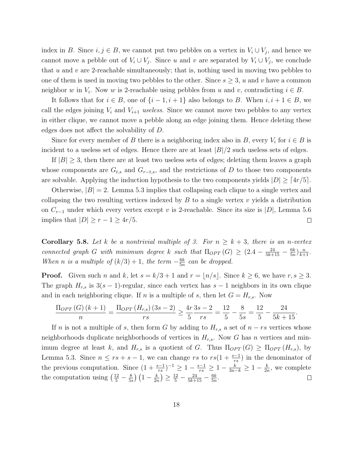index in B. Since  $i, j \in B$ , we cannot put two pebbles on a vertex in  $V_i \cup V_j$ , and hence we cannot move a pebble out of  $V_i \cup V_j$ . Since u and v are separated by  $V_i \cup V_j$ , we conclude that u and v are 2-reachable simultaneously; that is, nothing used in moving two pebbles to one of them is used in moving two pebbles to the other. Since  $s \geq 3$ , u and v have a common neighbor w in  $V_i$ . Now w is 2-reachable using pebbles from u and v, contradicting  $i \in B$ .

It follows that for  $i \in B$ , one of  $\{i-1, i+1\}$  also belongs to B. When  $i, i+1 \in B$ , we call the edges joining  $V_i$  and  $V_{i+1}$  useless. Since we cannot move two pebbles to any vertex in either clique, we cannot move a pebble along an edge joining them. Hence deleting these edges does not affect the solvability of D.

Since for every member of B there is a neighboring index also in B, every  $V_i$  for  $i \in B$  is incident to a useless set of edges. Hence there are at least  $|B|/2$  such useless sets of edges.

If  $|B| \geq 3$ , then there are at least two useless sets of edges; deleting them leaves a graph whose components are  $G_{t,s}$  and  $G_{r-t,s}$ , and the restrictions of D to those two components are solvable. Applying the induction hypothesis to the two components yields  $|D| \geq \lceil 4r/5 \rceil$ .

Otherwise,  $|B| = 2$ . Lemma 5.3 implies that collapsing each clique to a single vertex and collapsing the two resulting vertices indexed by  $B$  to a single vertex  $v$  yields a distribution on  $C_{r-1}$  under which every vertex except v is 2-reachable. Since its size is |D|, Lemma 5.6 implies that  $|D| \geq r - 1 \geq 4r/5$ .  $\Box$ 

**Corollary 5.8.** Let k be a nontrivial multiple of 3. For  $n \geq k+3$ , there is an n-vertex connected graph G with minimum degree k such that  $\Pi_{OPT}(G) \geq (2.4 - \frac{24}{5k+15} - \frac{6k}{5n})$  $\frac{6k}{5n}$  $\frac{n}{k+1}$ . When n is a multiple of  $(k/3) + 1$ , the term  $-\frac{6k}{5n}$  $\frac{6k}{5n}$  can be dropped.

**Proof.** Given such n and k, let  $s = k/3 + 1$  and  $r = \lfloor n/s \rfloor$ . Since  $k \ge 6$ , we have  $r, s \ge 3$ . The graph  $H_{r,s}$  is  $3(s-1)$ -regular, since each vertex has  $s-1$  neighbors in its own clique and in each neighboring clique. If n is a multiple of s, then let  $G = H_{r,s}$ . Now

$$
\frac{\Pi_{OPT}(G)(k+1)}{n} = \frac{\Pi_{OPT}(H_{r,s})(3s-2)}{rs} \ge \frac{4r}{5}\frac{3s-2}{rs} = \frac{12}{5} - \frac{8}{5s} = \frac{12}{5} - \frac{24}{5k+15}.
$$

If n is not a multiple of s, then form G by adding to  $H_{r,s}$  a set of  $n - rs$  vertices whose neighborhoods duplicate neighborhoods of vertices in  $H_{r,s}$ . Now G has n vertices and minimum degree at least k, and  $H_{r,s}$  is a quotient of G. Thus  $\Pi_{OPT}(G) \geq \Pi_{OPT}(H_{r,s})$ , by Lemma 5.3. Since  $n \le rs + s - 1$ , we can change rs to  $rs(1 + \frac{s-1}{rs})$  in the denominator of the previous computation. Since  $(1+\frac{s-1}{rs})^{-1} \geq 1-\frac{s-1}{rs} \geq 1-\frac{k}{3n-k} \geq 1-\frac{k}{2r}$  $\frac{k}{2n}$ , we complete the computation using  $\left(\frac{12}{5} - \frac{8}{5s}\right)$  $\frac{8}{5s}$  )  $\left(1-\frac{k}{2n}\right)$  $\left(\frac{k}{2n}\right) \geq \frac{12}{5} - \frac{24}{5k+15} - \frac{6k}{5n}$  $\frac{6k}{5n}$ .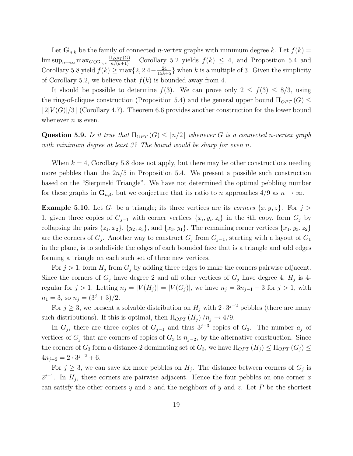Let  $\mathbf{G}_{n,k}$  be the family of connected *n*-vertex graphs with minimum degree k. Let  $f(k)$  =  $\limsup_{n\to\infty} \max_{G \in \mathbf{G}_{n,k}} \frac{\Pi_{OPT}(G)}{n/(k+1)}$ . Corollary 5.2 yields  $f(k) \leq 4$ , and Proposition 5.4 and Corollary 5.8 yield  $f(k) \ge \max\{2, 2.4 - \frac{24}{15k+5}\}\$  when k is a multiple of 3. Given the simplicity of Corollary 5.2, we believe that  $f(k)$  is bounded away from 4.

It should be possible to determine  $f(3)$ . We can prove only  $2 \le f(3) \le 8/3$ , using the ring-of-cliques construction (Proposition 5.4) and the general upper bound  $\Pi_{OPT}(G) \leq$  $[2|V(G)|/3]$  (Corollary 4.7). Theorem 6.6 provides another construction for the lower bound whenever  $n$  is even.

Question 5.9. Is it true that  $\Pi_{OPT}(G) \leq \lceil n/2 \rceil$  whenever G is a connected n-vertex graph with minimum degree at least  $3$ ? The bound would be sharp for even n.

When  $k = 4$ , Corollary 5.8 does not apply, but there may be other constructions needing more pebbles than the  $2n/5$  in Proposition 5.4. We present a possible such construction based on the "Sierpinski Triangle". We have not determined the optimal pebbling number for these graphs in  $\mathbf{G}_{n,4}$ , but we conjecture that its ratio to n approaches  $4/9$  as  $n \to \infty$ .

**Example 5.10.** Let  $G_1$  be a triangle; its three vertices are its corners  $\{x, y, z\}$ . For  $j >$ 1, given three copies of  $G_{j-1}$  with corner vertices  $\{x_i, y_i, z_i\}$  in the *i*th copy, form  $G_j$  by collapsing the pairs  $\{z_1, x_2\}, \{y_2, z_3\}, \text{ and } \{x_3, y_1\}.$  The remaining corner vertices  $\{x_1, y_3, z_2\}$ are the corners of  $G_j$ . Another way to construct  $G_j$  from  $G_{j-1}$ , starting with a layout of  $G_1$ in the plane, is to subdivide the edges of each bounded face that is a triangle and add edges forming a triangle on each such set of three new vertices.

For  $j > 1$ , form  $H_j$  from  $G_j$  by adding three edges to make the corners pairwise adjacent. Since the corners of  $G_j$  have degree 2 and all other vertices of  $G_j$  have degree 4,  $H_j$  is 4regular for  $j > 1$ . Letting  $n_j = |V(H_j)| = |V(G_j)|$ , we have  $n_j = 3n_{j-1} - 3$  for  $j > 1$ , with  $n_1 = 3$ , so  $n_j = (3^j + 3)/2$ .

For  $j \geq 3$ , we present a solvable distribution on  $H_j$  with  $2 \cdot 3^{j-2}$  pebbles (there are many such distributions). If this is optimal, then  $\Pi_{OPT}(H_i)/n_i \rightarrow 4/9$ .

In  $G_j$ , there are three copies of  $G_{j-1}$  and thus  $3^{j-3}$  copies of  $G_3$ . The number  $a_j$  of vertices of  $G_j$  that are corners of copies of  $G_3$  is  $n_{j-2}$ , by the alternative construction. Since the corners of  $G_3$  form a distance-2 dominating set of  $G_3$ , we have  $\Pi_{OPT}(H_i) \leq \Pi_{OPT}(G_i) \leq$  $4n_{j-2} = 2 \cdot 3^{j-2} + 6.$ 

For  $j \geq 3$ , we can save six more pebbles on  $H_j$ . The distance between corners of  $G_j$  is  $2^{j-1}$ . In  $H_j$ , these corners are pairwise adjacent. Hence the four pebbles on one corner x can satisfy the other corners y and z and the neighbors of y and z. Let P be the shortest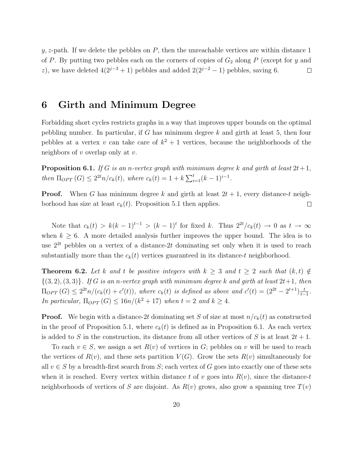y, z-path. If we delete the pebbles on  $P$ , then the unreachable vertices are within distance 1 of P. By putting two pebbles each on the corners of copies of  $G_2$  along P (except for y and z), we have deleted  $4(2^{j-3}+1)$  pebbles and added  $2(2^{j-2}-1)$  pebbles, saving 6.  $\Box$ 

### 6 Girth and Minimum Degree

Forbidding short cycles restricts graphs in a way that improves upper bounds on the optimal pebbling number. In particular, if  $G$  has minimum degree  $k$  and girth at least 5, then four pebbles at a vertex v can take care of  $k^2 + 1$  vertices, because the neighborhoods of the neighbors of  $v$  overlap only at  $v$ .

**Proposition 6.1.** If G is an n-vertex graph with minimum degree k and girth at least  $2t+1$ , then  $\Pi_{OPT}(G) \leq 2^{2t}n/c_k(t)$ , where  $c_k(t) = 1 + k \sum_{i=1}^{t} (k-1)^{i-1}$ .

**Proof.** When G has minimum degree k and girth at least  $2t + 1$ , every distance-t neighborhood has size at least  $c_k(t)$ . Proposition 5.1 then applies.  $\Box$ 

Note that  $c_k(t) > k(k-1)^{t-1} > (k-1)^t$  for fixed k. Thus  $2^{2t}/c_k(t) \rightarrow 0$  as  $t \rightarrow \infty$ when  $k \geq 6$ . A more detailed analysis further improves the upper bound. The idea is to use  $2^{2t}$  pebbles on a vertex of a distance- $2t$  dominating set only when it is used to reach substantially more than the  $c_k(t)$  vertices guaranteed in its distance-t neighborhood.

**Theorem 6.2.** Let k and t be positive integers with  $k \geq 3$  and  $t \geq 2$  such that  $(k, t) \notin$  $\{(3, 2), (3, 3)\}.$  If G is an n-vertex graph with minimum degree k and girth at least  $2t+1$ , then  $\Pi_{OPT}(G) \leq 2^{2t}n/(c_k(t) + c'(t)),$  where  $c_k(t)$  is defined as above and  $c'(t) = (2^{2t} - 2^{t+1})\frac{t}{t-1}$  $\frac{t}{t-1}$ . In particular,  $\Pi_{OPT}(G) \leq 16n/(k^2+17)$  when  $t = 2$  and  $k \geq 4$ .

**Proof.** We begin with a distance-2t dominating set S of size at most  $n/c_k(t)$  as constructed in the proof of Proposition 5.1, where  $c_k(t)$  is defined as in Proposition 6.1. As each vertex is added to S in the construction, its distance from all other vertices of S is at least  $2t + 1$ .

To each  $v \in S$ , we assign a set  $R(v)$  of vertices in G; pebbles on v will be used to reach the vertices of  $R(v)$ , and these sets partition  $V(G)$ . Grow the sets  $R(v)$  simultaneously for all  $v \in S$  by a breadth-first search from S; each vertex of G goes into exactly one of these sets when it is reached. Every vertex within distance t of v goes into  $R(v)$ , since the distance-t neighborhoods of vertices of S are disjoint. As  $R(v)$  grows, also grow a spanning tree  $T(v)$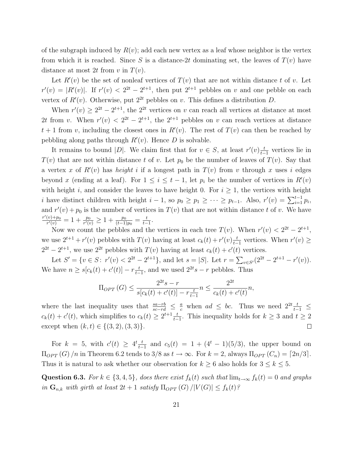of the subgraph induced by  $R(v)$ ; add each new vertex as a leaf whose neighbor is the vertex from which it is reached. Since S is a distance-2t dominating set, the leaves of  $T(v)$  have distance at most 2t from v in  $T(v)$ .

Let  $R'(v)$  be the set of nonleaf vertices of  $T(v)$  that are not within distance t of v. Let  $r'(v) = |R'(v)|$ . If  $r'(v) < 2^{2t} - 2^{t+1}$ , then put  $2^{t+1}$  pebbles on v and one pebble on each vertex of  $R'(v)$ . Otherwise, put  $2^{2t}$  pebbles on v. This defines a distribution D.

When  $r'(v) \geq 2^{2t} - 2^{t+1}$ , the  $2^{2t}$  vertices on v can reach all vertices at distance at most 2t from v. When  $r'(v) < 2^{2t} - 2^{t+1}$ , the  $2^{t+1}$  pebbles on v can reach vertices at distance  $t+1$  from v, including the closest ones in  $R'(v)$ . The rest of  $T(v)$  can then be reached by pebbling along paths through  $R'(v)$ . Hence D is solvable.

It remains to bound |D|. We claim first that for  $v \in S$ , at least  $r'(v) \frac{t}{t-1}$  $\frac{t}{t-1}$  vertices lie in  $T(v)$  that are not within distance t of v. Let  $p_0$  be the number of leaves of  $T(v)$ . Say that a vertex x of  $R'(v)$  has *height* i if a longest path in  $T(v)$  from v through x uses i edges beyond x (ending at a leaf). For  $1 \leq i \leq t-1$ , let  $p_i$  be the number of vertices in  $R'(v)$ with height i, and consider the leaves to have height 0. For  $i \geq 1$ , the vertices with height i have distinct children with height  $i-1$ , so  $p_0 \ge p_1 \ge \cdots \ge p_{t-1}$ . Also,  $r'(v) = \sum_{i=1}^{t-1} p_i$ , and  $r'(v) + p_0$  is the number of vertices in  $T(v)$  that are not within distance t of v. We have  $r'(v) + p_0$  $\frac{(v) + p_0}{r'(v)} = 1 + \frac{p_0}{r'(v)} \geq 1 + \frac{p_0}{(t-1)p_0} = \frac{t}{t-1}$  $\frac{t}{t-1}$ .

Now we count the pebbles and the vertices in each tree  $T(v)$ . When  $r'(v) < 2^{2t} - 2^{t+1}$ , we use  $2^{t+1} + r'(v)$  pebbles with  $T(v)$  having at least  $c_k(t) + r'(v) \frac{t}{t-1}$  $\frac{t}{t-1}$  vertices. When  $r'(v)$  ≥  $2^{2t} - 2^{t+1}$ , we use  $2^{2t}$  pebbles with  $T(v)$  having at least  $c_k(t) + c'(t)$  vertices.

Let  $S' = \{v \in S: r'(v) < 2^{2t} - 2^{t+1}\}\$ , and let  $s = |S|$ . Let  $r = \sum_{v \in S'} (2^{2t} - 2^{t+1} - r'(v))$ . We have  $n \ge s[c_k(t) + c'(t)] - r \frac{t}{t-1}$  $\frac{t}{t-1}$ , and we used  $2^{2t}s - r$  pebbles. Thus

$$
\Pi_{OPT}(G) \le \frac{2^{2t}s - r}{s[c_k(t) + c'(t)] - r\frac{t}{t-1}} n \le \frac{2^{2t}}{c_k(t) + c'(t)} n,
$$

where the last inequality uses that  $\frac{sa-rb}{sc-rd} \leq \frac{a}{c}$  when  $ad \leq bc$ . Thus we need  $2^{2t} \frac{t}{t-1} \leq$  $c_k(t) + c'(t)$ , which simplifies to  $c_k(t) \geq 2^{t+1} \frac{t}{t-1}$  $\frac{t}{t-1}$ . This inequality holds for  $k ≥ 3$  and  $t ≥ 2$ except when  $(k, t) \in \{(3, 2), (3, 3)\}.$  $\Box$ 

For  $k = 5$ , with  $c'(t) \geq 4^t \frac{t}{t-1}$  $\frac{t}{t-1}$  and  $c_5(t) = 1 + (4^t - 1)(5/3)$ , the upper bound on  $\Pi_{OPT}(G)$  /n in Theorem 6.2 tends to 3/8 as  $t \to \infty$ . For  $k = 2$ , always  $\Pi_{OPT}(C_n) = \lfloor 2n/3 \rfloor$ . Thus it is natural to ask whether our observation for  $k \geq 6$  also holds for  $3 \leq k \leq 5$ .

Question 6.3. For  $k \in \{3, 4, 5\}$ , does there exist  $f_k(t)$  such that  $\lim_{t\to\infty} f_k(t) = 0$  and graphs in  $\mathbf{G}_{n,k}$  with girth at least  $2t + 1$  satisfy  $\Pi_{OPT}(G)/|V(G)| \leq f_k(t)$ ?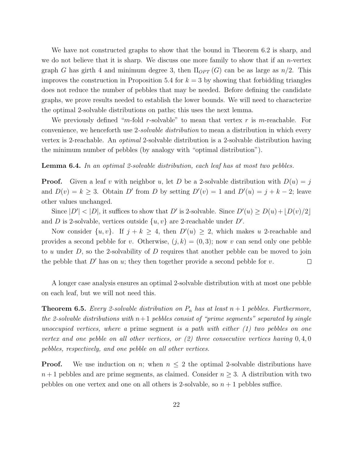We have not constructed graphs to show that the bound in Theorem 6.2 is sharp, and we do not believe that it is sharp. We discuss one more family to show that if an *n*-vertex graph G has girth 4 and minimum degree 3, then  $\Pi_{OPT}(G)$  can be as large as  $n/2$ . This improves the construction in Proposition 5.4 for  $k = 3$  by showing that forbidding triangles does not reduce the number of pebbles that may be needed. Before defining the candidate graphs, we prove results needed to establish the lower bounds. We will need to characterize the optimal 2-solvable distributions on paths; this uses the next lemma.

We previously defined "m-fold r-solvable" to mean that vertex r is m-reachable. For convenience, we henceforth use 2-solvable distribution to mean a distribution in which every vertex is 2-reachable. An optimal 2-solvable distribution is a 2-solvable distribution having the minimum number of pebbles (by analogy with "optimal distribution").

Lemma 6.4. In an optimal 2-solvable distribution, each leaf has at most two pebbles.

**Proof.** Given a leaf v with neighbor u, let D be a 2-solvable distribution with  $D(u) = i$ and  $D(v) = k \geq 3$ . Obtain D' from D by setting  $D'(v) = 1$  and  $D'(u) = j + k - 2$ ; leave other values unchanged.

Since  $|D'| < |D|$ , it suffices to show that D' is 2-solvable. Since  $D'(u) \ge D(u) + |D(v)/2|$ and D is 2-solvable, vertices outside  $\{u, v\}$  are 2-reachable under D'.

Now consider  $\{u, v\}$ . If  $j + k \geq 4$ , then  $D'(u) \geq 2$ , which makes u 2-reachable and provides a second pebble for v. Otherwise,  $(j, k) = (0, 3)$ ; now v can send only one pebble to u under  $D$ , so the 2-solvability of  $D$  requires that another pebble can be moved to join the pebble that  $D'$  has on u; they then together provide a second pebble for v.  $\Box$ 

A longer case analysis ensures an optimal 2-solvable distribution with at most one pebble on each leaf, but we will not need this.

**Theorem 6.5.** Every 2-solvable distribution on  $P_n$  has at least  $n+1$  pebbles. Furthermore, the 2-solvable distributions with  $n+1$  pebbles consist of "prime segments" separated by single unoccupied vertices, where a prime segment is a path with either  $(1)$  two pebbles on one vertex and one pebble on all other vertices, or  $(2)$  three consecutive vertices having  $0, 4, 0$ pebbles, respectively, and one pebble on all other vertices.

**Proof.** We use induction on n; when  $n \leq 2$  the optimal 2-solvable distributions have  $n+1$  pebbles and are prime segments, as claimed. Consider  $n \geq 3$ . A distribution with two pebbles on one vertex and one on all others is 2-solvable, so  $n + 1$  pebbles suffice.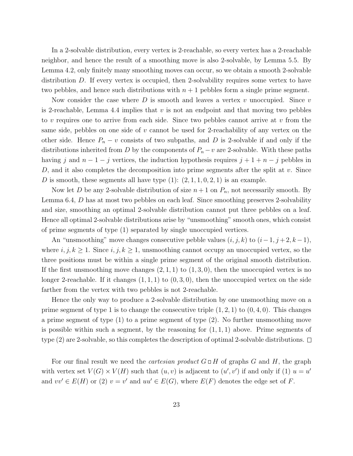In a 2-solvable distribution, every vertex is 2-reachable, so every vertex has a 2-reachable neighbor, and hence the result of a smoothing move is also 2-solvable, by Lemma 5.5. By Lemma 4.2, only finitely many smoothing moves can occur, so we obtain a smooth 2-solvable distribution D. If every vertex is occupied, then 2-solvability requires some vertex to have two pebbles, and hence such distributions with  $n + 1$  pebbles form a single prime segment.

Now consider the case where D is smooth and leaves a vertex v unoccupied. Since v is 2-reachable, Lemma 4.4 implies that  $v$  is not an endpoint and that moving two pebbles to v requires one to arrive from each side. Since two pebbles cannot arrive at v from the same side, pebbles on one side of  $v$  cannot be used for 2-reachability of any vertex on the other side. Hence  $P_n - v$  consists of two subpaths, and D is 2-solvable if and only if the distributions inherited from D by the components of  $P_n - v$  are 2-solvable. With these paths having j and  $n-1-j$  vertices, the induction hypothesis requires  $j+1+n-j$  pebbles in D, and it also completes the decomposition into prime segments after the split at  $v$ . Since D is smooth, these segments all have type  $(1)$ :  $(2, 1, 1, 0, 2, 1)$  is an example.

Now let D be any 2-solvable distribution of size  $n+1$  on  $P_n$ , not necessarily smooth. By Lemma 6.4, D has at most two pebbles on each leaf. Since smoothing preserves 2-solvability and size, smoothing an optimal 2-solvable distribution cannot put three pebbles on a leaf. Hence all optimal 2-solvable distributions arise by "unsmoothing" smooth ones, which consist of prime segments of type (1) separated by single unoccupied vertices.

An "unsmoothing" move changes consecutive pebble values  $(i, j, k)$  to  $(i-1, j+2, k-1)$ , where  $i, j, k \geq 1$ . Since  $i, j, k \geq 1$ , unsmoothing cannot occupy an unoccupied vertex, so the three positions must be within a single prime segment of the original smooth distribution. If the first unsmoothing move changes  $(2, 1, 1)$  to  $(1, 3, 0)$ , then the unoccupied vertex is no longer 2-reachable. If it changes  $(1, 1, 1)$  to  $(0, 3, 0)$ , then the unoccupied vertex on the side farther from the vertex with two pebbles is not 2-reachable.

Hence the only way to produce a 2-solvable distribution by one unsmoothing move on a prime segment of type 1 is to change the consecutive triple  $(1, 2, 1)$  to  $(0, 4, 0)$ . This changes a prime segment of type (1) to a prime segment of type (2). No further unsmoothing move is possible within such a segment, by the reasoning for  $(1, 1, 1)$  above. Prime segments of type (2) are 2-solvable, so this completes the description of optimal 2-solvable distributions.  $\Box$ 

For our final result we need the *cartesian product*  $G \square H$  of graphs G and H, the graph with vertex set  $V(G) \times V(H)$  such that  $(u, v)$  is adjacent to  $(u', v')$  if and only if (1)  $u = u'$ and  $vv' \in E(H)$  or (2)  $v = v'$  and  $uu' \in E(G)$ , where  $E(F)$  denotes the edge set of F.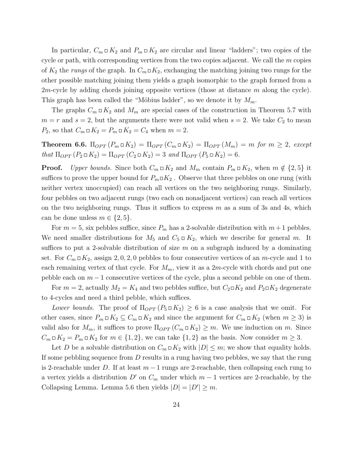In particular,  $C_m \Box K_2$  and  $P_m \Box K_2$  are circular and linear "ladders"; two copies of the cycle or path, with corresponding vertices from the two copies adjacent. We call the  $m$  copies of  $K_2$  the rungs of the graph. In  $C_m \square K_2$ , exchanging the matching joining two rungs for the other possible matching joining them yields a graph isomorphic to the graph formed from a 2*m*-cycle by adding chords joining opposite vertices (those at distance m along the cycle). This graph has been called the "Möbius ladder", so we denote it by  $M_m$ .

The graphs  $C_m \square K_2$  and  $M_m$  are special cases of the construction in Theorem 5.7 with  $m = r$  and  $s = 2$ , but the arguments there were not valid when  $s = 2$ . We take  $C_2$  to mean  $P_2$ , so that  $C_m \square K_2 = P_m \square K_2 = C_4$  when  $m = 2$ .

**Theorem 6.6.**  $\Pi_{OPT}(P_m \square K_2) = \Pi_{OPT}(C_m \square K_2) = \Pi_{OPT}(M_m) = m$  for  $m \geq 2$ , except that  $\Pi_{OPT}(P_2 \square K_2) = \Pi_{OPT}(C_2 \square K_2) = 3$  and  $\Pi_{OPT}(P_5 \square K_2) = 6$ .

**Proof.** Upper bounds. Since both  $C_m \square K_2$  and  $M_m$  contain  $P_m \square K_2$ , when  $m \notin \{2, 5\}$  it suffices to prove the upper bound for  $P_m \Box K_2$ . Observe that three pebbles on one rung (with neither vertex unoccupied) can reach all vertices on the two neighboring rungs. Similarly, four pebbles on two adjacent rungs (two each on nonadjacent vertices) can reach all vertices on the two neighboring rungs. Thus it suffices to express  $m$  as a sum of 3s and 4s, which can be done unless  $m \in \{2, 5\}.$ 

For  $m = 5$ , six pebbles suffice, since  $P_m$  has a 2-solvable distribution with  $m+1$  pebbles. We need smaller distributions for  $M_5$  and  $C_5 \square K_2$ , which we describe for general m. It suffices to put a 2-solvable distribution of size  $m$  on a subgraph induced by a dominating set. For  $C_m \Box K_2$ , assign 2, 0, 2, 0 pebbles to four consecutive vertices of an m-cycle and 1 to each remaining vertex of that cycle. For  $M_m$ , view it as a 2m-cycle with chords and put one pebble each on  $m-1$  consecutive vertices of the cycle, plus a second pebble on one of them.

For  $m = 2$ , actually  $M_2 = K_4$  and two pebbles suffice, but  $C_2 \square K_2$  and  $P_2 \square K_2$  degenerate to 4-cycles and need a third pebble, which suffices.

Lower bounds. The proof of  $\Pi_{OPT}(P_5 \square K_2) \geq 6$  is a case analysis that we omit. For other cases, since  $P_m \square K_2 \subseteq C_m \square K_2$  and since the argument for  $C_m \square K_2$  (when  $m \geq 3$ ) is valid also for  $M_m$ , it suffices to prove  $\Pi_{OPT}(C_m \square K_2) \geq m$ . We use induction on m. Since  $C_m \square K_2 = P_m \square K_2$  for  $m \in \{1, 2\}$ , we can take  $\{1, 2\}$  as the basis. Now consider  $m \geq 3$ .

Let D be a solvable distribution on  $C_m \square K_2$  with  $|D| \leq m$ ; we show that equality holds. If some pebbling sequence from  $D$  results in a rung having two pebbles, we say that the rung is 2-reachable under D. If at least  $m-1$  rungs are 2-reachable, then collapsing each rung to a vertex yields a distribution  $D'$  on  $C_m$  under which  $m-1$  vertices are 2-reachable, by the Collapsing Lemma. Lemma 5.6 then yields  $|D| = |D'| \ge m$ .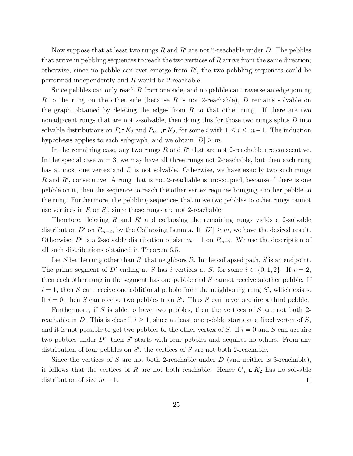Now suppose that at least two rungs R and R' are not 2-reachable under D. The pebbles that arrive in pebbling sequences to reach the two vertices of  $R$  arrive from the same direction; otherwise, since no pebble can ever emerge from  $R'$ , the two pebbling sequences could be performed independently and R would be 2-reachable.

Since pebbles can only reach R from one side, and no pebble can traverse an edge joining R to the rung on the other side (because R is not 2-reachable), D remains solvable on the graph obtained by deleting the edges from  $R$  to that other rung. If there are two nonadjacent rungs that are not 2-solvable, then doing this for those two rungs splits D into solvable distributions on  $P_i \square K_2$  and  $P_{m-i} \square K_2$ , for some i with  $1 \leq i \leq m-1$ . The induction hypothesis applies to each subgraph, and we obtain  $|D| \geq m$ .

In the remaining case, any two rungs  $R$  and  $R'$  that are not 2-reachable are consecutive. In the special case  $m = 3$ , we may have all three rungs not 2-reachable, but then each rung has at most one vertex and  $D$  is not solvable. Otherwise, we have exactly two such rungs R and R', consecutive. A rung that is not 2-reachable is unoccupied, because if there is one pebble on it, then the sequence to reach the other vertex requires bringing another pebble to the rung. Furthermore, the pebbling sequences that move two pebbles to other rungs cannot use vertices in  $R$  or  $R'$ , since those rungs are not 2-reachable.

Therefore, deleting R and R' and collapsing the remaining rungs yields a 2-solvable distribution D' on  $P_{m-2}$ , by the Collapsing Lemma. If  $|D'| \geq m$ , we have the desired result. Otherwise, D' is a 2-solvable distribution of size  $m-1$  on  $P_{m-2}$ . We use the description of all such distributions obtained in Theorem 6.5.

Let S be the rung other than  $R'$  that neighbors R. In the collapsed path, S is an endpoint. The prime segment of D' ending at S has i vertices at S, for some  $i \in \{0, 1, 2\}$ . If  $i = 2$ , then each other rung in the segment has one pebble and S cannot receive another pebble. If  $i = 1$ , then S can receive one additional pebble from the neighboring rung S', which exists. If  $i = 0$ , then S can receive two pebbles from S'. Thus S can never acquire a third pebble.

Furthermore, if S is able to have two pebbles, then the vertices of S are not both 2reachable in D. This is clear if  $i \geq 1$ , since at least one pebble starts at a fixed vertex of S, and it is not possible to get two pebbles to the other vertex of S. If  $i = 0$  and S can acquire two pebbles under  $D'$ , then  $S'$  starts with four pebbles and acquires no others. From any distribution of four pebbles on  $S'$ , the vertices of  $S$  are not both 2-reachable.

Since the vertices of S are not both 2-reachable under  $D$  (and neither is 3-reachable), it follows that the vertices of R are not both reachable. Hence  $C_m \square K_2$  has no solvable distribution of size  $m - 1$ .  $\Box$